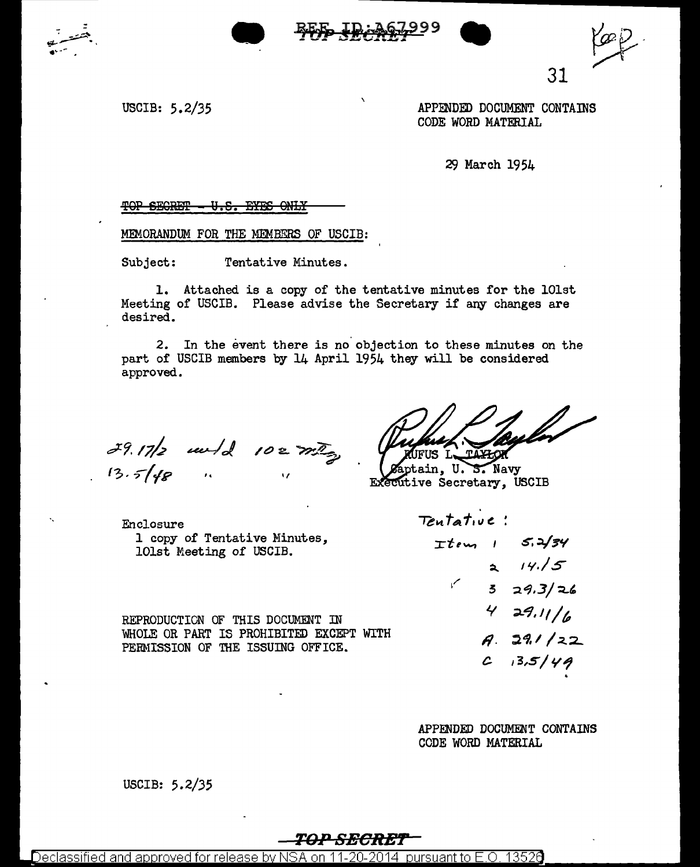



31

USCIB: 5.2/35

APPENDED DOCUMENT CONTAINS CODE WORD MATERIAL

29 March 1954

#### TOP SECRET - U.S. EYES ONLY

MEMORANDUM FOR THE MEMBERS OF USCIB:

Subject: Tentative Minutes.

1. Attached is a copy of the tentative minutes for the 101st Meeting of USCIB. Please advise the Secretary if any changes are desired.

2. In the event there is no objection to these minutes on the part of USCIB members by 14 April 1954 they will be considered approved.

 $39.17/2$  and  $102777$ 

TAXHOK FUS L.

tain, U.S. Navy Executive Secretary, USCIB

Tentative:

Enclosure 1 copy of Tentative Minutes, 101st Meeting of USCIB.

 $T$ tem  $1$  5.2/34  $\sim$ 

REPRODUCTION OF THIS DOCUMENT IN WHOLE OR PART IS PROHIBITED EXCEPT WITH PERMISSION OF THE ISSUING OFFICE.

 $329.3/26$  $429.11/6$  $A. 291/22$  $C$  13,5/49

 $214.5$ 

APPENDED DOCUMENT CONTAINS CODE WORD MATERIAL

USCIB: 5.2/35

#### TOP SECREI

Declassified and approved for release by NSA on 11-20-2014  $\,$  pursuant to E.O. 13526  $\,$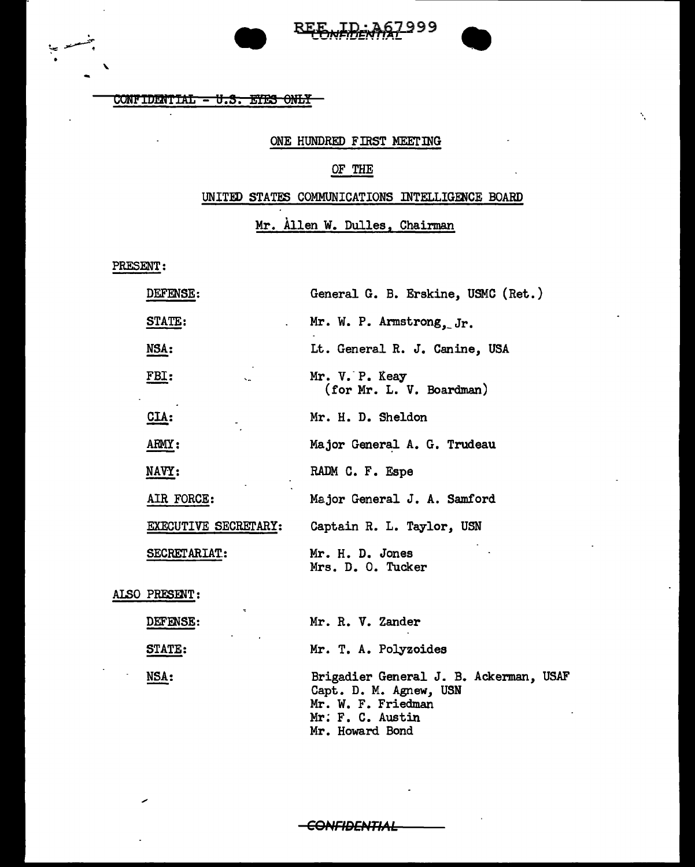



١.

CONFIDENTIAL - U.S. EYES ONLY

## ONE HUNDRED FIRST MEETING

# OF THE

### UNITED STATES COMMUNICATIONS INTELLIGENCE BOARD

### Mr. Allen W. Dulles, Chairman

PRESENT:

| <b>DEFENSE:</b>      | General G. B. Erskine, USMC (Ret.)         |
|----------------------|--------------------------------------------|
| STATE:               | Mr. W. P. Armstrong. Jr.                   |
| NSA:                 | Lt. General R. J. Canine, USA              |
| FBI:                 | Mr. V. P. Keay<br>(for Mr. L. V. Boardman) |
| <b>CIA:</b>          | Mr. H. D. Sheldon                          |
| ARMY:                | Major General A. G. Trudeau                |
| <b>NAVY:</b>         | RADM C. F. Espe                            |
| AIR FORCE:           | Major General J. A. Samford                |
| EXECUTIVE SECRETARY: | Captain R. L. Taylor, USN                  |
| SECRETARIAT:         | Mr. H. D. Jones<br>Mrs. D. O. Tucker       |
| הזורה התמת ו         |                                            |

ALSO PRESENT:

| <b>DEFENSE:</b><br><b>Service Control</b> | Mr. R. V. Zander                                                                                                              |
|-------------------------------------------|-------------------------------------------------------------------------------------------------------------------------------|
| STATE:                                    | Mr. T. A. Polyzoides                                                                                                          |
| NSA:                                      | Brigadier General J. B. Ackerman, USAF<br>Capt. D. M. Agnew, USN<br>Mr. W. F. Friedman<br>Mr. F. C. Austin<br>Mr. Howard Bond |

**CONFIDENTIAL**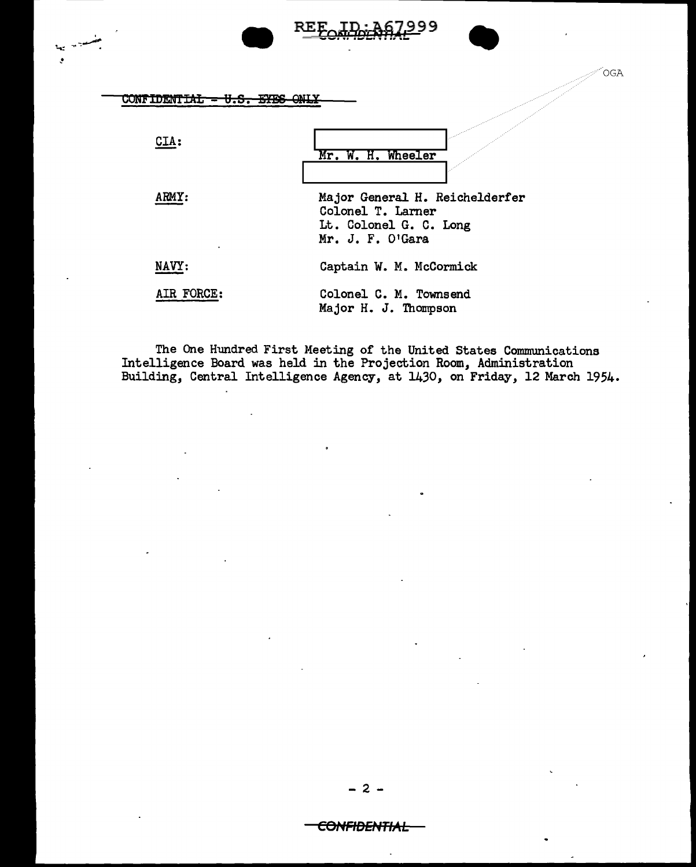| <b>CONFIDENTIAL</b><br>ᡡᠣᠷ | <b>OGA</b>                                                                                        |
|----------------------------|---------------------------------------------------------------------------------------------------|
| CIA:                       | Mr. W. H. Wheeler                                                                                 |
| ARMY:                      | Major General H. Reichelderfer<br>Colonel T. Larner<br>Lt. Colonel G. C. Long<br>Mr. J. F. O'Gara |
| NAVY:                      | Captain W. M. McCormick                                                                           |
| AIR FORCE:                 | Colonel C. M. Townsend<br>Major H. J. Thompson                                                    |

99

The One Hundred First Meeting of the United States Communications<br>Intelligence Board was held in the Projection Room, Administration<br>Building, Central Intelligence Agency, at 1430, on Friday, 12 March 1954.

 $\overline{a}$ 

#### <del>CONFIDENTIAL</del>